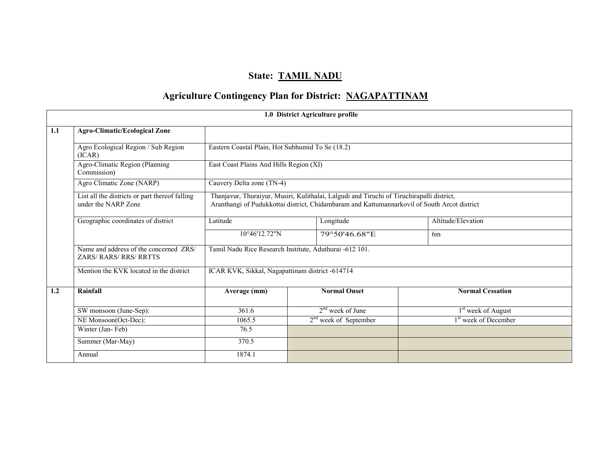## State: TAMIL NADU

# Agriculture Contingency Plan for District: NAGAPATTINAM

|     |                                                                       |                                                         |                                                                                                                                                                                           | 1.0 District Agriculture profile |  |                                  |  |  |  |
|-----|-----------------------------------------------------------------------|---------------------------------------------------------|-------------------------------------------------------------------------------------------------------------------------------------------------------------------------------------------|----------------------------------|--|----------------------------------|--|--|--|
| 1.1 | <b>Agro-Climatic/Ecological Zone</b>                                  |                                                         |                                                                                                                                                                                           |                                  |  |                                  |  |  |  |
|     | Agro Ecological Region / Sub Region<br>(ICAR)                         | Eastern Coastal Plain, Hot Subhumid To Se (18.2)        |                                                                                                                                                                                           |                                  |  |                                  |  |  |  |
|     | Agro-Climatic Region (Planning<br>Commission)                         | East Coast Plains And Hills Region (XI)                 |                                                                                                                                                                                           |                                  |  |                                  |  |  |  |
|     | Agro Climatic Zone (NARP)                                             | Cauvery Delta zone (TN-4)                               |                                                                                                                                                                                           |                                  |  |                                  |  |  |  |
|     | List all the districts or part thereof falling<br>under the NARP Zone |                                                         | Thanjavur, Thuraiyur, Musiri, Kulithalai, Lalgudi and Tiruchi of Tiruchirapalli district,<br>Aranthangi of Pudukkottai district, Chidambaram and Kattumannarkovil of South Arcot district |                                  |  |                                  |  |  |  |
|     | Geographic coordinates of district                                    | Latitude                                                | Longitude                                                                                                                                                                                 |                                  |  | Altitude/Elevation               |  |  |  |
|     |                                                                       | $10^{\circ}46'12.72''N$                                 | 79°50'46.68"E                                                                                                                                                                             |                                  |  | 6 <sub>m</sub>                   |  |  |  |
|     | Name and address of the concerned ZRS/<br><b>ZARS/RARS/RRS/RRTTS</b>  | Tamil Nadu Rice Research Institute, Aduthurai -612 101. |                                                                                                                                                                                           |                                  |  |                                  |  |  |  |
|     | Mention the KVK located in the district                               | ICAR KVK, Sikkal, Nagapattinam district -614714         |                                                                                                                                                                                           |                                  |  |                                  |  |  |  |
| 1.2 | Rainfall                                                              | Average (mm)                                            |                                                                                                                                                                                           | <b>Normal Onset</b>              |  | <b>Normal Cessation</b>          |  |  |  |
|     | SW monsoon (June-Sep):                                                | 361.6                                                   |                                                                                                                                                                                           | $2nd$ week of June               |  | 1 <sup>st</sup> week of August   |  |  |  |
|     | NE Monsoon(Oct-Dec):                                                  | 1065.5                                                  |                                                                                                                                                                                           | $2nd$ week of September          |  | 1 <sup>st</sup> week of December |  |  |  |
|     | Winter (Jan-Feb)                                                      | 76.5                                                    |                                                                                                                                                                                           |                                  |  |                                  |  |  |  |
|     | Summer (Mar-May)                                                      | 370.5                                                   |                                                                                                                                                                                           |                                  |  |                                  |  |  |  |
|     | Annual                                                                | 1874.1                                                  |                                                                                                                                                                                           |                                  |  |                                  |  |  |  |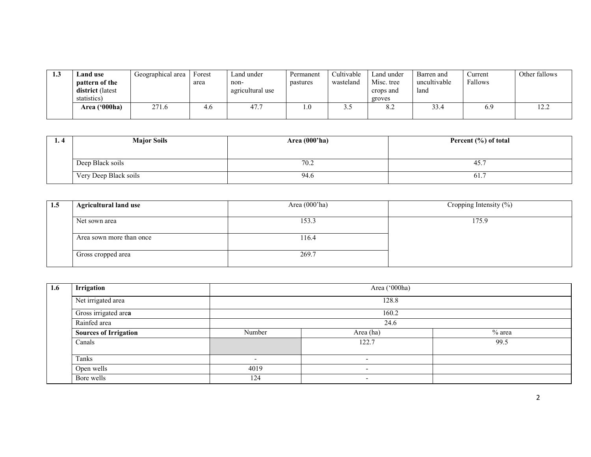| 1.3 | <b>Land use</b><br>pattern of the<br>district (latest<br>statistics) | Geographical area | Forest<br>area | Land under<br>non-<br>agricultural use | Permanent<br>pastures | Cultivable<br>wasteland | Land under<br>Misc. tree<br>crops and<br>groves | Barren and<br>uncultivable<br>land | Current<br>Fallows | Other fallows |
|-----|----------------------------------------------------------------------|-------------------|----------------|----------------------------------------|-----------------------|-------------------------|-------------------------------------------------|------------------------------------|--------------------|---------------|
|     | Area ('000ha)                                                        | 271.6             | -4.0           | 47.7                                   | $_{.0}$               | .                       | ∪.∠                                             | 33.4                               |                    | 12.2          |

| 1,4 | <b>Major Soils</b>    | Area $(000'$ ha) | Percent (%) of total |
|-----|-----------------------|------------------|----------------------|
|     |                       |                  |                      |
|     | Deep Black soils      | 70.2             | 45. .                |
|     | Very Deep Black soils | 94.6             | 61.                  |

| 1.5 | <b>Agricultural land use</b> | Area (000'ha) | Cropping Intensity (%) |
|-----|------------------------------|---------------|------------------------|
|     |                              |               |                        |
|     | Net sown area                | 153.3         | 175.9                  |
|     |                              |               |                        |
|     | Area sown more than once     | 116.4         |                        |
|     |                              |               |                        |
|     | Gross cropped area           | 269.7         |                        |
|     |                              |               |                        |

| 1.6 | Irrigation                   |        | Area ('000ha)            |          |  |  |  |  |  |
|-----|------------------------------|--------|--------------------------|----------|--|--|--|--|--|
|     | Net irrigated area           |        | 128.8                    |          |  |  |  |  |  |
|     | Gross irrigated area         |        | 160.2                    |          |  |  |  |  |  |
|     | Rainfed area                 |        | 24.6                     |          |  |  |  |  |  |
|     | <b>Sources of Irrigation</b> | Number | Area (ha)                | $%$ area |  |  |  |  |  |
|     | Canals                       |        | 122.7                    | 99.5     |  |  |  |  |  |
|     | Tanks                        |        | -                        |          |  |  |  |  |  |
|     | Open wells                   | 4019   | $\overline{\phantom{0}}$ |          |  |  |  |  |  |
|     | Bore wells                   | 124    | $\overline{\phantom{0}}$ |          |  |  |  |  |  |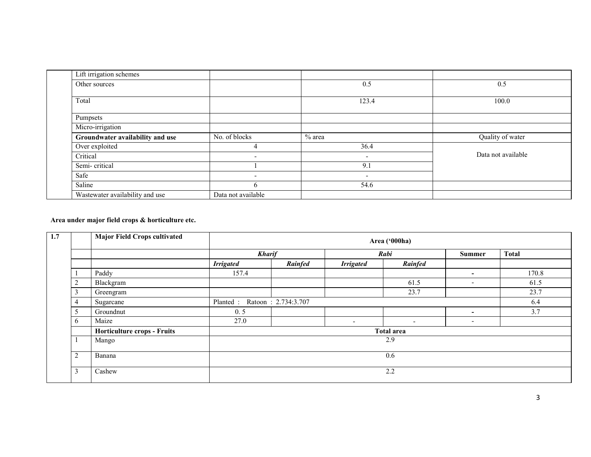| Lift irrigation schemes          |                    |                          |                    |
|----------------------------------|--------------------|--------------------------|--------------------|
| Other sources                    |                    | 0.5                      | 0.5                |
| Total                            |                    | 123.4                    | 100.0              |
| Pumpsets                         |                    |                          |                    |
| Micro-irrigation                 |                    |                          |                    |
| Groundwater availability and use | No. of blocks      | $%$ area                 | Quality of water   |
| Over exploited                   |                    | 36.4                     |                    |
| Critical                         | -                  | $\overline{\phantom{0}}$ | Data not available |
| Semi-critical                    |                    | 9.1                      |                    |
| Safe                             | -                  | $\overline{\phantom{0}}$ |                    |
| Saline                           | 6                  | 54.6                     |                    |
| Wastewater availability and use  | Data not available |                          |                    |

#### Area under major field crops & horticulture etc.

|                | <b>Major Field Crops cultivated</b> | Area ('000ha)    |                     |                          |                          |               |              |  |  |
|----------------|-------------------------------------|------------------|---------------------|--------------------------|--------------------------|---------------|--------------|--|--|
|                |                                     |                  | <b>Kharif</b>       |                          | Rabi                     | <b>Summer</b> | <b>Total</b> |  |  |
|                |                                     | <b>Irrigated</b> | Rainfed             | <b>Irrigated</b>         | Rainfed                  |               |              |  |  |
|                | Paddy                               | 157.4            |                     |                          |                          | ۰.            | 170.8        |  |  |
| $\overline{2}$ | Blackgram                           |                  |                     |                          | 61.5                     | $\sim$        | 61.5         |  |  |
| 3              | Greengram                           |                  |                     |                          | 23.7                     |               | 23.7         |  |  |
| 4              | Sugarcane                           | Planted :        | Ratoon: 2.734:3.707 |                          |                          |               |              |  |  |
| 5              | Groundnut                           | 0.5              |                     |                          |                          | $\sim$        | 3.7          |  |  |
| 6              | Maize                               | 27.0             |                     | $\overline{\phantom{a}}$ | $\overline{\phantom{a}}$ | $\sim$        |              |  |  |
|                | <b>Horticulture crops - Fruits</b>  |                  |                     |                          | <b>Total area</b>        |               |              |  |  |
|                | Mango                               |                  |                     |                          | 2.9                      |               |              |  |  |
| $\overline{2}$ | Banana                              |                  | 0.6                 |                          |                          |               |              |  |  |
| 3              | Cashew                              |                  |                     |                          | 2.2                      |               |              |  |  |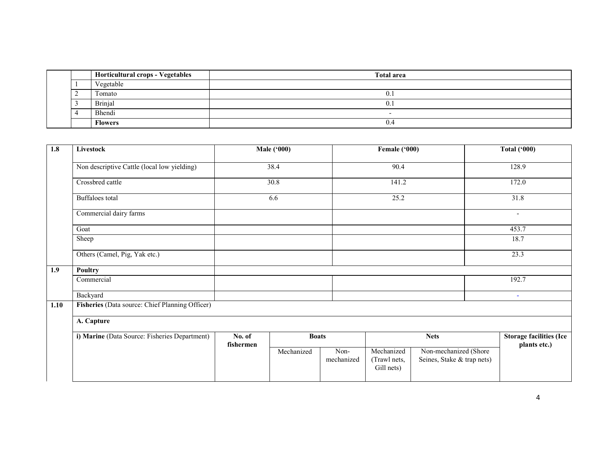|  | Horticultural crops - Vegetables | <b>Total area</b>             |
|--|----------------------------------|-------------------------------|
|  | Vegetable                        |                               |
|  | Tomato                           | $\mathbf{U}$ .                |
|  | Brinjal                          | $\mathbf{U} \cdot \mathbf{A}$ |
|  | Bhendi                           | -                             |
|  | <b>Flowers</b>                   | ∪.∸                           |

| 1.8  | Livestock                                       |                     | <b>Male ('000)</b> |                    | Female ('000)                            |                                                     | <b>Total ('000)</b>                            |
|------|-------------------------------------------------|---------------------|--------------------|--------------------|------------------------------------------|-----------------------------------------------------|------------------------------------------------|
|      | Non descriptive Cattle (local low yielding)     |                     | 38.4               |                    | 90.4                                     |                                                     | 128.9                                          |
|      | Crossbred cattle                                |                     | 30.8               |                    | 141.2                                    |                                                     | 172.0                                          |
|      | Buffaloes total                                 |                     | 6.6                |                    | 25.2                                     |                                                     | 31.8                                           |
|      | Commercial dairy farms                          |                     |                    |                    |                                          |                                                     | $\overline{\phantom{a}}$                       |
|      | Goat                                            |                     |                    |                    |                                          |                                                     | 453.7                                          |
|      | Sheep                                           |                     |                    |                    |                                          |                                                     | 18.7                                           |
|      | Others (Camel, Pig, Yak etc.)                   |                     |                    |                    |                                          |                                                     | 23.3                                           |
| 1.9  | <b>Poultry</b>                                  |                     |                    |                    |                                          |                                                     |                                                |
|      | Commercial                                      |                     |                    |                    |                                          |                                                     | 192.7                                          |
|      | Backyard                                        |                     |                    |                    |                                          |                                                     | $\sim$                                         |
| 1.10 | Fisheries (Data source: Chief Planning Officer) |                     |                    |                    |                                          |                                                     |                                                |
|      | A. Capture                                      |                     |                    |                    |                                          |                                                     |                                                |
|      | i) Marine (Data Source: Fisheries Department)   | No. of<br>fishermen | <b>Boats</b>       |                    |                                          | <b>Nets</b>                                         | <b>Storage facilities (Ice</b><br>plants etc.) |
|      |                                                 |                     | Mechanized         | Non-<br>mechanized | Mechanized<br>(Trawl nets,<br>Gill nets) | Non-mechanized (Shore<br>Seines, Stake & trap nets) |                                                |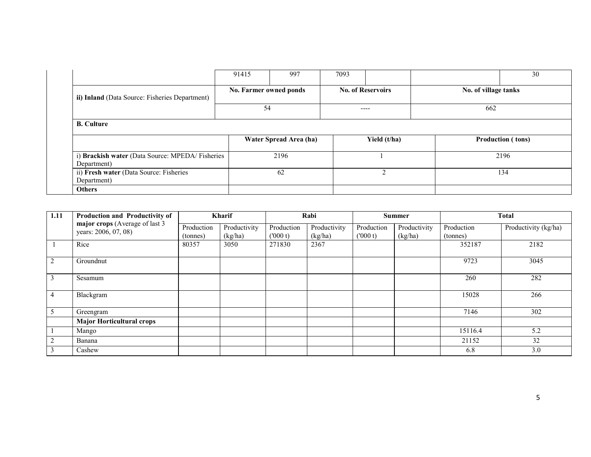|                                                                | 91415                  | 997                    | 7093                     |              |                      | 30                       |
|----------------------------------------------------------------|------------------------|------------------------|--------------------------|--------------|----------------------|--------------------------|
| ii) Inland (Data Source: Fisheries Department)                 | No. Farmer owned ponds |                        | <b>No. of Reservoirs</b> |              | No. of village tanks |                          |
|                                                                | 54                     |                        |                          | ----         | 662                  |                          |
| <b>B.</b> Culture                                              |                        |                        |                          |              |                      |                          |
|                                                                |                        |                        |                          |              |                      |                          |
|                                                                |                        | Water Spread Area (ha) |                          | Yield (t/ha) |                      | <b>Production (tons)</b> |
| i) Brackish water (Data Source: MPEDA/Fisheries<br>Department) |                        | 2196                   |                          |              |                      | 2196                     |
| ii) Fresh water (Data Source: Fisheries<br>Department)         |                        | 62                     |                          |              |                      | 134                      |

| 1.11 | Production and Productivity of                         |                        | Kharif                  |                       | Rabi                    |                        | <b>Summer</b>           |                        | <b>Total</b>         |
|------|--------------------------------------------------------|------------------------|-------------------------|-----------------------|-------------------------|------------------------|-------------------------|------------------------|----------------------|
|      | major crops (Average of last 3<br>years: 2006, 07, 08) | Production<br>(tonnes) | Productivity<br>(kg/ha) | Production<br>(000 t) | Productivity<br>(kg/ha) | Production<br>(1000 t) | Productivity<br>(kg/ha) | Production<br>(tonnes) | Productivity (kg/ha) |
|      | Rice                                                   | 80357                  | 3050                    | 271830                | 2367                    |                        |                         | 352187                 | 2182                 |
|      | Groundnut                                              |                        |                         |                       |                         |                        |                         | 9723                   | 3045                 |
|      | Sesamum                                                |                        |                         |                       |                         |                        |                         | 260                    | 282                  |
|      | Blackgram                                              |                        |                         |                       |                         |                        |                         | 15028                  | 266                  |
|      | Greengram                                              |                        |                         |                       |                         |                        |                         | 7146                   | 302                  |
|      | <b>Major Horticultural crops</b>                       |                        |                         |                       |                         |                        |                         |                        |                      |
|      | Mango                                                  |                        |                         |                       |                         |                        |                         | 15116.4                | 5.2                  |
|      | Banana                                                 |                        |                         |                       |                         |                        |                         | 21152                  | 32                   |
|      | Cashew                                                 |                        |                         |                       |                         |                        |                         | 6.8                    | 3.0                  |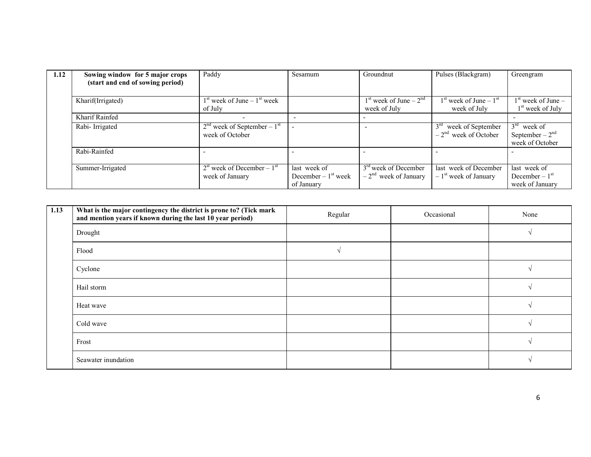| 1.12 | Sowing window for 5 major crops<br>(start and end of sowing period) | Paddy                                              | Sesamum                                            | Groundnut                                        | Pulses (Blackgram)                                | Greengram                                             |
|------|---------------------------------------------------------------------|----------------------------------------------------|----------------------------------------------------|--------------------------------------------------|---------------------------------------------------|-------------------------------------------------------|
|      | Kharif(Irrigated)                                                   | $1st$ week of June – $1st$ week<br>of July         |                                                    | $1st$ week of June – $2nd$<br>week of July       | $1st$ week of June – $1st$<br>week of July        | $1st$ week of June –<br>$1st$ week of July            |
|      | Kharif Rainfed                                                      | $\overline{\phantom{0}}$                           |                                                    |                                                  |                                                   |                                                       |
|      | Rabi-Irrigated                                                      | $2nd$ week of September – $1st$<br>week of October |                                                    |                                                  | $3rd$ week of September<br>$-2nd$ week of October | $3rd$ week of<br>September – $2nd$<br>week of October |
|      | Rabi-Rainfed                                                        |                                                    |                                                    |                                                  |                                                   |                                                       |
|      | Summer-Irrigated                                                    | $2st$ week of December – $1st$<br>week of January  | last week of<br>December $-1st$ week<br>of January | $3rd$ week of December<br>$-2nd$ week of January | last week of December<br>$-1st$ week of January   | last week of<br>December $-1st$<br>week of January    |

| 1.13 | What is the major contingency the district is prone to? (Tick mark<br>and mention years if known during the last 10 year period) | Regular | Occasional | None |
|------|----------------------------------------------------------------------------------------------------------------------------------|---------|------------|------|
|      | Drought                                                                                                                          |         |            |      |
|      | Flood                                                                                                                            |         |            |      |
|      | Cyclone                                                                                                                          |         |            |      |
|      | Hail storm                                                                                                                       |         |            |      |
|      | Heat wave                                                                                                                        |         |            |      |
|      | Cold wave                                                                                                                        |         |            |      |
|      | Frost                                                                                                                            |         |            |      |
|      | Seawater inundation                                                                                                              |         |            |      |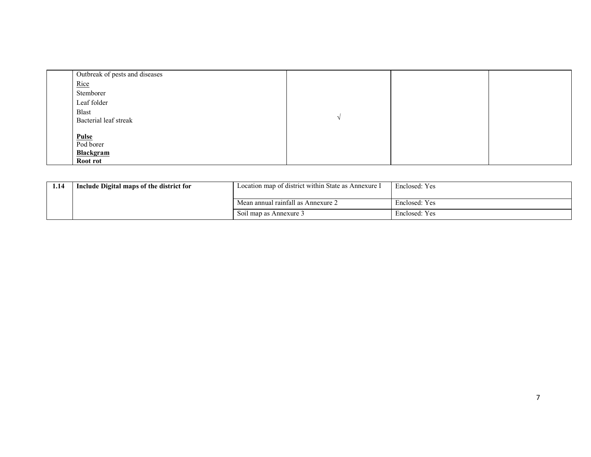| Outbreak of pests and diseases |  |  |
|--------------------------------|--|--|
| Rice                           |  |  |
| Stemborer                      |  |  |
| Leaf folder                    |  |  |
| <b>Blast</b>                   |  |  |
| Bacterial leaf streak          |  |  |
|                                |  |  |
| <b>Pulse</b>                   |  |  |
| Pod borer                      |  |  |
| Blackgram                      |  |  |
| Root rot                       |  |  |

| 1.14 | Include Digital maps of the district for | Location map of district within State as Annexure I | Enclosed: Yes |
|------|------------------------------------------|-----------------------------------------------------|---------------|
|      |                                          | Mean annual rainfall as Annexure 2                  | Enclosed: Yes |
|      |                                          | Soil map as Annexure 3                              | Enclosed: Yes |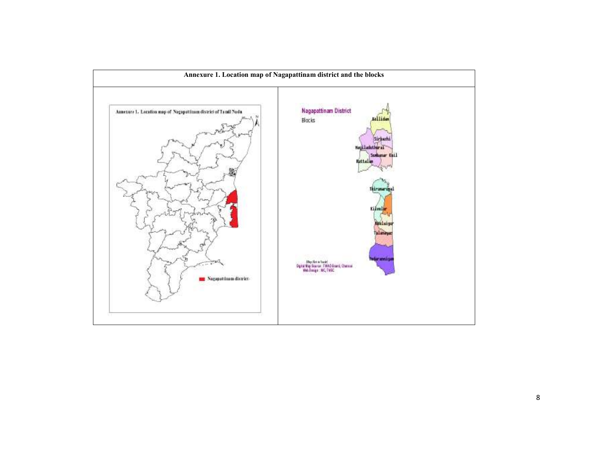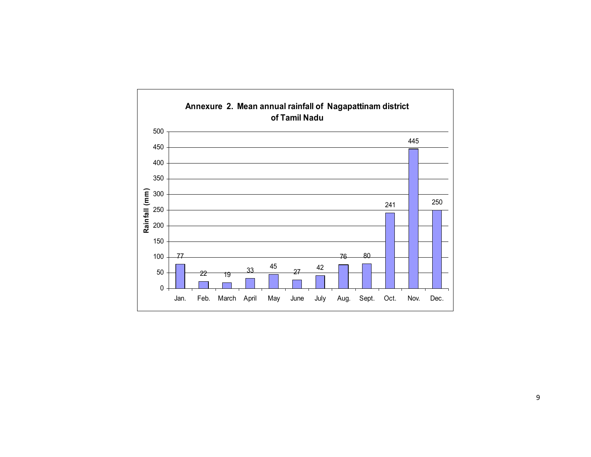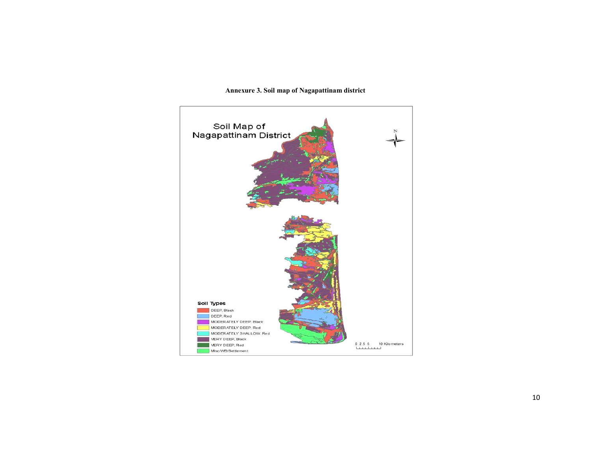#### Annexure 3. Soil map of Nagapattinam district

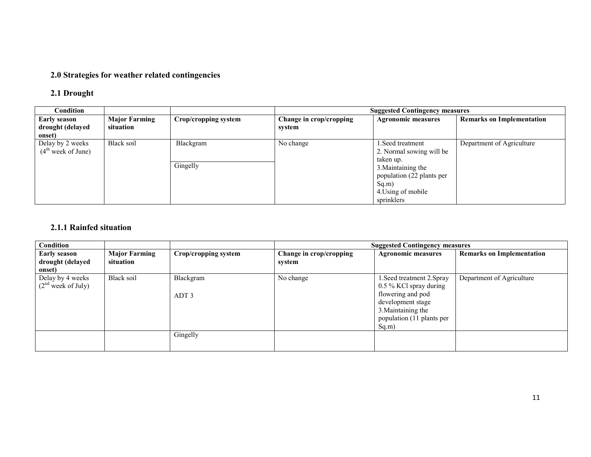### 2.0 Strategies for weather related contingencies

### 2.1 Drought

| Condition                                          |                                   |                       |                                   | <b>Suggested Contingency measures</b>                                                                                                                   |                                  |
|----------------------------------------------------|-----------------------------------|-----------------------|-----------------------------------|---------------------------------------------------------------------------------------------------------------------------------------------------------|----------------------------------|
| <b>Early season</b><br>drought (delayed<br>onset)  | <b>Major Farming</b><br>situation | Crop/cropping system  | Change in crop/cropping<br>system | <b>Agronomic measures</b>                                                                                                                               | <b>Remarks on Implementation</b> |
| Delay by 2 weeks<br>(4 <sup>th</sup> week of June) | Black soil                        | Blackgram<br>Gingelly | No change                         | Seed treatment<br>2. Normal sowing will be<br>taken up.<br>3. Maintaining the<br>population (22 plants per<br>Sq.m)<br>4. Using of mobile<br>sprinklers | Department of Agriculture        |

### 2.1.1 Rainfed situation

| Condition                                          |                                   |                               |                                   | <b>Suggested Contingency measures</b>                                                                                                                        |                                  |
|----------------------------------------------------|-----------------------------------|-------------------------------|-----------------------------------|--------------------------------------------------------------------------------------------------------------------------------------------------------------|----------------------------------|
| <b>Early season</b><br>drought (delayed<br>onset)  | <b>Major Farming</b><br>situation | Crop/cropping system          | Change in crop/cropping<br>system | <b>Agronomic measures</b>                                                                                                                                    | <b>Remarks on Implementation</b> |
| Delay by 4 weeks<br>(2 <sup>nd</sup> week of July) | Black soil                        | Blackgram<br>ADT <sub>3</sub> | No change                         | 1. Seed treatment 2. Spray<br>$0.5\%$ KCl spray during<br>flowering and pod<br>development stage<br>3. Maintaining the<br>population (11 plants per<br>Sq.m) | Department of Agriculture        |
|                                                    |                                   | Gingelly                      |                                   |                                                                                                                                                              |                                  |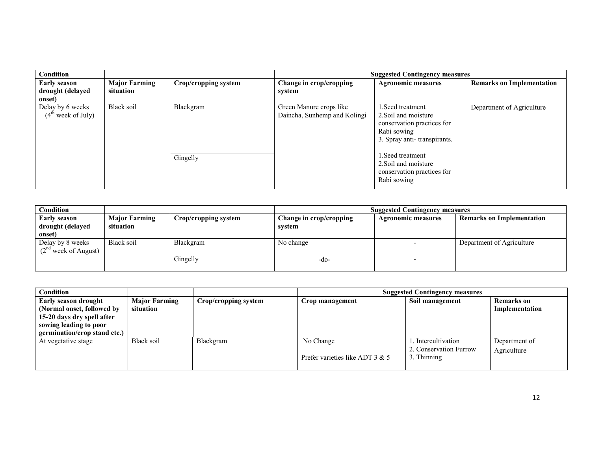| <b>Condition</b>                                   |                                   |                       |                                                         | <b>Suggested Contingency measures</b>                                                                                                                                                                           |                                  |
|----------------------------------------------------|-----------------------------------|-----------------------|---------------------------------------------------------|-----------------------------------------------------------------------------------------------------------------------------------------------------------------------------------------------------------------|----------------------------------|
| <b>Early season</b><br>drought (delayed<br>onset)  | <b>Major Farming</b><br>situation | Crop/cropping system  | Change in crop/cropping<br>system                       | <b>Agronomic measures</b>                                                                                                                                                                                       | <b>Remarks on Implementation</b> |
| Delay by 6 weeks<br>(4 <sup>th</sup> week of July) | Black soil                        | Blackgram<br>Gingelly | Green Manure crops like<br>Daincha, Sunhemp and Kolingi | 1. Seed treatment<br>2. Soil and moisture<br>conservation practices for<br>Rabi sowing<br>3. Spray anti-transpirants.<br>1. Seed treatment<br>2. Soil and moisture<br>conservation practices for<br>Rabi sowing | Department of Agriculture        |

| Condition                                            |                                   |                      | <b>Suggested Contingency measures</b> |                           |                                  |  |
|------------------------------------------------------|-----------------------------------|----------------------|---------------------------------------|---------------------------|----------------------------------|--|
| <b>Early season</b><br>drought (delayed              | <b>Major Farming</b><br>situation | Crop/cropping system | Change in crop/cropping<br>svstem     | <b>Agronomic measures</b> | <b>Remarks on Implementation</b> |  |
| onset)                                               |                                   |                      |                                       |                           |                                  |  |
| Delay by 8 weeks<br>(2 <sup>nd</sup> week of August) | Black soil                        | Blackgram            | No change                             |                           | Department of Agriculture        |  |
|                                                      |                                   | Gingelly             | -do-                                  | $\overline{\phantom{0}}$  |                                  |  |

| <b>Condition</b>                                                                                                                                  |                                   |                      |                                              | <b>Suggested Contingency measures</b>                       |                              |
|---------------------------------------------------------------------------------------------------------------------------------------------------|-----------------------------------|----------------------|----------------------------------------------|-------------------------------------------------------------|------------------------------|
| <b>Early season drought</b><br>(Normal onset, followed by<br>15-20 days dry spell after<br>sowing leading to poor<br>germination/crop stand etc.) | <b>Major Farming</b><br>situation | Crop/cropping system | Crop management                              | Soil management                                             | Remarks on<br>Implementation |
| At vegetative stage                                                                                                                               | Black soil                        | Blackgram            | No Change<br>Prefer varieties like ADT 3 & 5 | . Intercultivation<br>2. Conservation Furrow<br>3. Thinning | Department of<br>Agriculture |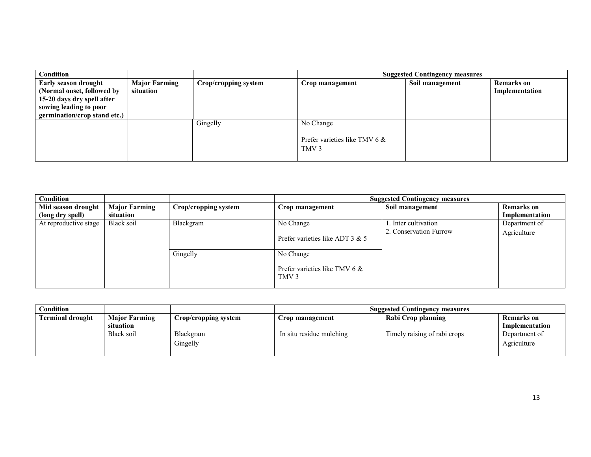| <b>Condition</b>                                                                                                                           |                                   |                      |                                                                | <b>Suggested Contingency measures</b> |                              |
|--------------------------------------------------------------------------------------------------------------------------------------------|-----------------------------------|----------------------|----------------------------------------------------------------|---------------------------------------|------------------------------|
| Early season drought<br>(Normal onset, followed by<br>15-20 days dry spell after<br>sowing leading to poor<br>germination/crop stand etc.) | <b>Major Farming</b><br>situation | Crop/cropping system | Crop management                                                | Soil management                       | Remarks on<br>Implementation |
|                                                                                                                                            |                                   | Gingelly             | No Change<br>Prefer varieties like TMV 6 &<br>TMV <sub>3</sub> |                                       |                              |

| <b>Condition</b>      |                      |                      |                                                   | <b>Suggested Contingency measures</b> |                   |
|-----------------------|----------------------|----------------------|---------------------------------------------------|---------------------------------------|-------------------|
| Mid season drought    | <b>Major Farming</b> | Crop/cropping system | Crop management                                   | Soil management                       | <b>Remarks</b> on |
| (long dry spell)      | situation            |                      |                                                   |                                       | Implementation    |
| At reproductive stage | Black soil           | Blackgram            | No Change                                         | . Inter cultivation                   | Department of     |
|                       |                      |                      | Prefer varieties like ADT 3 & 5                   | 2. Conservation Furrow                | Agriculture       |
|                       |                      | Gingelly             | No Change                                         |                                       |                   |
|                       |                      |                      | Prefer varieties like TMV 6 &<br>TMV <sub>3</sub> |                                       |                   |

| Condition               |                      |                      |                          | <b>Suggested Contingency measures</b> |                |
|-------------------------|----------------------|----------------------|--------------------------|---------------------------------------|----------------|
| <b>Terminal drought</b> | <b>Major Farming</b> | Crop/cropping system | Crop management          | Rabi Crop planning                    | Remarks on     |
|                         | situation            |                      |                          |                                       | Implementation |
|                         | Black soil           | Blackgram            | In situ residue mulching | Timely raising of rabi crops          | Department of  |
|                         |                      | Gingelly             |                          |                                       | Agriculture    |
|                         |                      |                      |                          |                                       |                |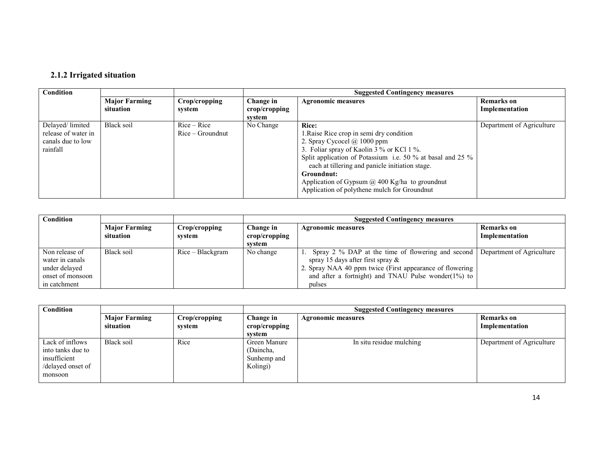### 2.1.2 Irrigated situation

| <b>Condition</b>                                                        |                      |                                     | <b>Suggested Contingency measures</b> |                                                                                                                                                                                                                                                                                                                                                                                     |                           |  |
|-------------------------------------------------------------------------|----------------------|-------------------------------------|---------------------------------------|-------------------------------------------------------------------------------------------------------------------------------------------------------------------------------------------------------------------------------------------------------------------------------------------------------------------------------------------------------------------------------------|---------------------------|--|
|                                                                         | <b>Major Farming</b> | Crop/cropping                       | Change in                             | <b>Agronomic measures</b>                                                                                                                                                                                                                                                                                                                                                           | <b>Remarks</b> on         |  |
|                                                                         | situation            | svstem                              | crop/cropping                         |                                                                                                                                                                                                                                                                                                                                                                                     | Implementation            |  |
|                                                                         |                      |                                     | svstem                                |                                                                                                                                                                                                                                                                                                                                                                                     |                           |  |
| Delayed/limited<br>release of water in<br>canals due to low<br>rainfall | Black soil           | $Rice - Rice$<br>$Rice - Groundnut$ | No Change                             | <b>Rice:</b><br>1. Raise Rice crop in semi dry condition<br>2. Spray Cycocel $\omega$ 1000 ppm<br>3. Foliar spray of Kaolin 3 % or KCl 1 %.<br>Split application of Potassium i.e. 50 % at basal and 25 %<br>each at tillering and panicle initiation stage.<br>Groundnut:<br>Application of Gypsum $\omega$ 400 Kg/ha to groundnut<br>Application of polythene mulch for Groundnut | Department of Agriculture |  |

| Condition        |                      |                  | <b>Suggested Contingency measures</b> |                                                          |                           |  |
|------------------|----------------------|------------------|---------------------------------------|----------------------------------------------------------|---------------------------|--|
|                  | <b>Major Farming</b> | Crop/cropping    | Change in<br>Agronomic measures       |                                                          | <b>Remarks</b> on         |  |
|                  | situation            | system           | crop/cropping                         |                                                          | Implementation            |  |
|                  |                      |                  | svstem                                |                                                          |                           |  |
| Non release of   | Black soil           | Rice – Blackgram | No change                             | Spray 2 % DAP at the time of flowering and second        | Department of Agriculture |  |
| water in canals  |                      |                  |                                       | spray 15 days after first spray $\&$                     |                           |  |
| under delayed    |                      |                  |                                       | 2. Spray NAA 40 ppm twice (First appearance of flowering |                           |  |
| onset of monsoon |                      |                  |                                       | and after a fortnight) and TNAU Pulse wonder $(1\%)$ to  |                           |  |
| in catchment     |                      |                  |                                       | pulses                                                   |                           |  |

| Condition         |                      |               | <b>Suggested Contingency measures</b> |                          |                           |  |
|-------------------|----------------------|---------------|---------------------------------------|--------------------------|---------------------------|--|
|                   | <b>Major Farming</b> | Crop/cropping | Change in                             | <b>Remarks</b> on        |                           |  |
|                   | situation            | svstem        | crop/cropping                         |                          | Implementation            |  |
|                   |                      |               | svstem                                |                          |                           |  |
| Lack of inflows   | Black soil           | Rice          | Green Manure                          | In situ residue mulching | Department of Agriculture |  |
| into tanks due to |                      |               | (Daincha,                             |                          |                           |  |
| insufficient      |                      |               | Sunhemp and                           |                          |                           |  |
| /delayed onset of |                      |               | Kolingi)                              |                          |                           |  |
| monsoon           |                      |               |                                       |                          |                           |  |
|                   |                      |               |                                       |                          |                           |  |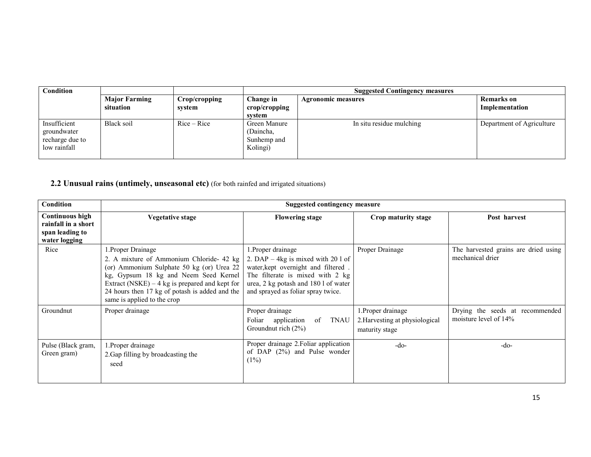| <b>Condition</b>                                               |                                   |                         | <b>Suggested Contingency measures</b>                |                           |                                     |  |
|----------------------------------------------------------------|-----------------------------------|-------------------------|------------------------------------------------------|---------------------------|-------------------------------------|--|
|                                                                | <b>Major Farming</b><br>situation | Crop/cropping<br>system | Change in<br>crop/cropping<br>svstem                 | <b>Agronomic measures</b> | <b>Remarks</b> on<br>Implementation |  |
| Insufficient<br>groundwater<br>recharge due to<br>low rainfall | Black soil                        | $Rice - Rice$           | Green Manure<br>(Daincha,<br>Sunhemp and<br>Kolingi) | In situ residue mulching  | Department of Agriculture           |  |

## 2.2 Unusual rains (untimely, unseasonal etc) (for both rainfed and irrigated situations)

| Condition                                                                         |                                                                                                                                                                                                                                                                                          | <b>Suggested contingency measure</b>                                                                                                                                                                                |                                                                        |                                                          |
|-----------------------------------------------------------------------------------|------------------------------------------------------------------------------------------------------------------------------------------------------------------------------------------------------------------------------------------------------------------------------------------|---------------------------------------------------------------------------------------------------------------------------------------------------------------------------------------------------------------------|------------------------------------------------------------------------|----------------------------------------------------------|
| <b>Continuous high</b><br>rainfall in a short<br>span leading to<br>water logging | Vegetative stage                                                                                                                                                                                                                                                                         | <b>Flowering stage</b>                                                                                                                                                                                              | Crop maturity stage                                                    | Post harvest                                             |
| Rice                                                                              | 1. Proper Drainage<br>2. A mixture of Ammonium Chloride- 42 kg<br>(or) Ammonium Sulphate 50 kg (or) Urea 22<br>kg, Gypsum 18 kg and Neem Seed Kernel<br>Extract (NSKE) $-4$ kg is prepared and kept for<br>24 hours then 17 kg of potash is added and the<br>same is applied to the crop | 1. Proper drainage<br>2. DAP $-$ 4kg is mixed with 20 l of<br>water, kept overnight and filtered.<br>The filterate is mixed with 2 kg<br>urea, 2 kg potash and 180 l of water<br>and sprayed as foliar spray twice. | Proper Drainage                                                        | The harvested grains are dried using<br>mechanical drier |
| Groundnut                                                                         | Proper drainage                                                                                                                                                                                                                                                                          | Proper drainage<br><b>TNAU</b><br>Foliar application<br>of<br>Ground nut rich $(2\%)$                                                                                                                               | 1. Proper drainage<br>2. Harvesting at physiological<br>maturity stage | Drying the seeds at recommended<br>moisture level of 14% |
| Pulse (Black gram,<br>Green gram)                                                 | 1. Proper drainage<br>2. Gap filling by broadcasting the<br>seed                                                                                                                                                                                                                         | Proper drainage 2. Foliar application<br>of DAP (2%) and Pulse wonder<br>$(1\%)$                                                                                                                                    | $-do-$                                                                 | $-do-$                                                   |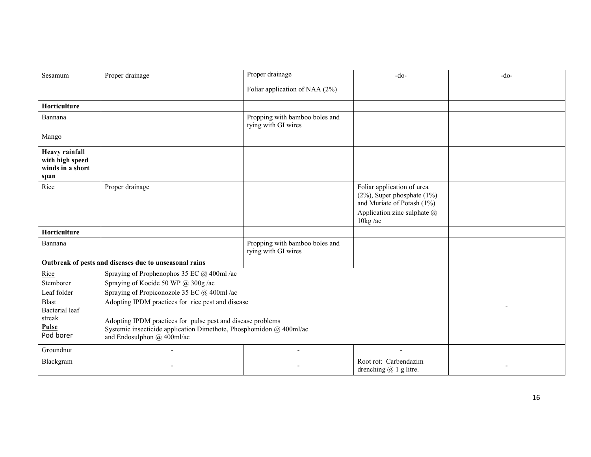| Sesamum                                                                                                          | Proper drainage                                                                                                                                                                                                                                                                                                                                            | Proper drainage                                       | $-do-$                                                                                                                                                    | $-do-$ |
|------------------------------------------------------------------------------------------------------------------|------------------------------------------------------------------------------------------------------------------------------------------------------------------------------------------------------------------------------------------------------------------------------------------------------------------------------------------------------------|-------------------------------------------------------|-----------------------------------------------------------------------------------------------------------------------------------------------------------|--------|
|                                                                                                                  |                                                                                                                                                                                                                                                                                                                                                            | Foliar application of NAA (2%)                        |                                                                                                                                                           |        |
| Horticulture                                                                                                     |                                                                                                                                                                                                                                                                                                                                                            |                                                       |                                                                                                                                                           |        |
| Bannana                                                                                                          |                                                                                                                                                                                                                                                                                                                                                            | Propping with bamboo boles and<br>tying with GI wires |                                                                                                                                                           |        |
| Mango                                                                                                            |                                                                                                                                                                                                                                                                                                                                                            |                                                       |                                                                                                                                                           |        |
| <b>Heavy rainfall</b><br>with high speed<br>winds in a short<br>span                                             |                                                                                                                                                                                                                                                                                                                                                            |                                                       |                                                                                                                                                           |        |
| Rice                                                                                                             | Proper drainage                                                                                                                                                                                                                                                                                                                                            |                                                       | Foliar application of urea<br>$(2\%)$ , Super phosphate $(1\%)$<br>and Muriate of Potash (1%)<br>Application zinc sulphate $@$<br>$10\text{kg}/\text{ac}$ |        |
| Horticulture                                                                                                     |                                                                                                                                                                                                                                                                                                                                                            |                                                       |                                                                                                                                                           |        |
| Bannana                                                                                                          |                                                                                                                                                                                                                                                                                                                                                            | Propping with bamboo boles and<br>tying with GI wires |                                                                                                                                                           |        |
|                                                                                                                  | Outbreak of pests and diseases due to unseasonal rains                                                                                                                                                                                                                                                                                                     |                                                       |                                                                                                                                                           |        |
| Rice<br>Stemborer<br>Leaf folder<br><b>Blast</b><br><b>Bacterial</b> leaf<br>streak<br><b>Pulse</b><br>Pod borer | Spraying of Prophenophos 35 EC @ 400ml /ac<br>Spraying of Kocide 50 WP @ 300g/ac<br>Spraying of Propiconozole 35 EC @ 400ml /ac<br>Adopting IPDM practices for rice pest and disease<br>Adopting IPDM practices for pulse pest and disease problems<br>Systemic insecticide application Dimethote, Phosphomidon @ 400ml/ac<br>and Endosulphon $@$ 400ml/ac |                                                       |                                                                                                                                                           |        |
| Groundnut                                                                                                        |                                                                                                                                                                                                                                                                                                                                                            |                                                       |                                                                                                                                                           |        |
| Blackgram                                                                                                        |                                                                                                                                                                                                                                                                                                                                                            |                                                       | Root rot: Carbendazim<br>drenching $@1g$ litre.                                                                                                           |        |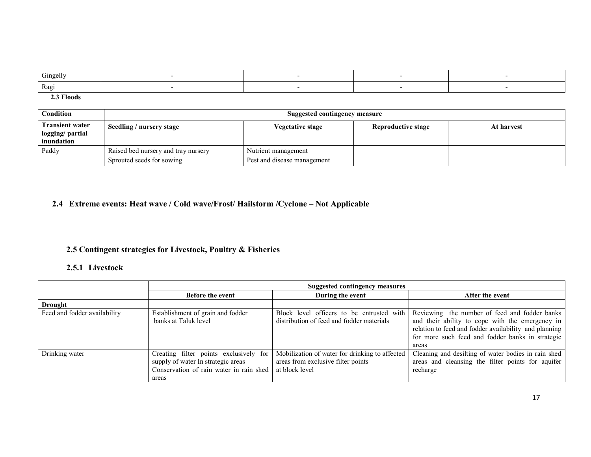| r.<br>Gingelly |  |  |
|----------------|--|--|
| Ra             |  |  |

#### 2.3 Floods

| Condition                                                | <b>Suggested contingency measure</b>                             |                                                    |                           |            |  |
|----------------------------------------------------------|------------------------------------------------------------------|----------------------------------------------------|---------------------------|------------|--|
| <b>Transient water</b><br>logging/ partial<br>inundation | Seedling / nursery stage                                         | <b>Vegetative stage</b>                            | <b>Reproductive stage</b> | At harvest |  |
| Paddy                                                    | Raised bed nursery and tray nursery<br>Sprouted seeds for sowing | Nutrient management<br>Pest and disease management |                           |            |  |

## 2.4 Extreme events: Heat wave / Cold wave/Frost/ Hailstorm /Cyclone – Not Applicable

### 2.5 Contingent strategies for Livestock, Poultry & Fisheries

### 2.5.1 Livestock

|                              | <b>Suggested contingency measures</b>                                                                                              |                                                                                                        |                                                                                                                                                                                                                        |  |  |
|------------------------------|------------------------------------------------------------------------------------------------------------------------------------|--------------------------------------------------------------------------------------------------------|------------------------------------------------------------------------------------------------------------------------------------------------------------------------------------------------------------------------|--|--|
|                              | <b>Before the event</b>                                                                                                            | During the event                                                                                       | After the event                                                                                                                                                                                                        |  |  |
| <b>Drought</b>               |                                                                                                                                    |                                                                                                        |                                                                                                                                                                                                                        |  |  |
| Feed and fodder availability | Establishment of grain and fodder<br>banks at Taluk level                                                                          | Block level officers to be entrusted with<br>distribution of feed and fodder materials                 | Reviewing the number of feed and fodder banks<br>and their ability to cope with the emergency in<br>relation to feed and fodder availability and planning<br>for more such feed and fodder banks in strategic<br>areas |  |  |
| Drinking water               | Creating filter points exclusively for<br>supply of water In strategic areas<br>Conservation of rain water in rain shed 1<br>areas | Mobilization of water for drinking to affected<br>areas from exclusive filter points<br>at block level | Cleaning and desilting of water bodies in rain shed<br>areas and cleansing the filter points for aquifer<br>recharge                                                                                                   |  |  |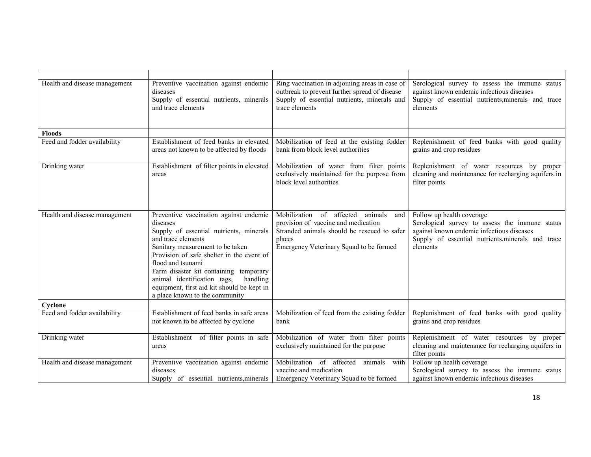| Health and disease management | Preventive vaccination against endemic<br>diseases<br>Supply of essential nutrients, minerals<br>and trace elements                                                                                                                                                                                                                                                                            | Ring vaccination in adjoining areas in case of<br>outbreak to prevent further spread of disease<br>Supply of essential nutrients, minerals and<br>trace elements                   | Serological survey to assess the immune status<br>against known endemic infectious diseases<br>Supply of essential nutrients, minerals and trace<br>elements                              |
|-------------------------------|------------------------------------------------------------------------------------------------------------------------------------------------------------------------------------------------------------------------------------------------------------------------------------------------------------------------------------------------------------------------------------------------|------------------------------------------------------------------------------------------------------------------------------------------------------------------------------------|-------------------------------------------------------------------------------------------------------------------------------------------------------------------------------------------|
| <b>Floods</b>                 |                                                                                                                                                                                                                                                                                                                                                                                                |                                                                                                                                                                                    |                                                                                                                                                                                           |
| Feed and fodder availability  | Establishment of feed banks in elevated<br>areas not known to be affected by floods                                                                                                                                                                                                                                                                                                            | Mobilization of feed at the existing fodder<br>bank from block level authorities                                                                                                   | Replenishment of feed banks with good quality<br>grains and crop residues                                                                                                                 |
| Drinking water                | Establishment of filter points in elevated<br>areas                                                                                                                                                                                                                                                                                                                                            | Mobilization of water from filter points<br>exclusively maintained for the purpose from<br>block level authorities                                                                 | Replenishment of water resources by proper<br>cleaning and maintenance for recharging aquifers in<br>filter points                                                                        |
| Health and disease management | Preventive vaccination against endemic<br>diseases<br>Supply of essential nutrients, minerals<br>and trace elements<br>Sanitary measurement to be taken<br>Provision of safe shelter in the event of<br>flood and tsunami<br>Farm disaster kit containing temporary<br>animal identification tags,<br>handling<br>equipment, first aid kit should be kept in<br>a place known to the community | Mobilization of affected animals<br>and<br>provision of vaccine and medication<br>Stranded animals should be rescued to safer<br>places<br>Emergency Veterinary Squad to be formed | Follow up health coverage<br>Serological survey to assess the immune status<br>against known endemic infectious diseases<br>Supply of essential nutrients, minerals and trace<br>elements |
| Cyclone                       |                                                                                                                                                                                                                                                                                                                                                                                                |                                                                                                                                                                                    |                                                                                                                                                                                           |
| Feed and fodder availability  | Establishment of feed banks in safe areas<br>not known to be affected by cyclone                                                                                                                                                                                                                                                                                                               | Mobilization of feed from the existing fodder<br>bank                                                                                                                              | Replenishment of feed banks with good quality<br>grains and crop residues                                                                                                                 |
| Drinking water                | Establishment of filter points in safe<br>areas                                                                                                                                                                                                                                                                                                                                                | Mobilization of water from filter points<br>exclusively maintained for the purpose                                                                                                 | Replenishment of water resources by proper<br>cleaning and maintenance for recharging aquifers in<br>filter points                                                                        |
| Health and disease management | Preventive vaccination against endemic<br>diseases<br>Supply of essential nutrients, minerals                                                                                                                                                                                                                                                                                                  | Mobilization of affected<br>animals<br>with<br>vaccine and medication<br>Emergency Veterinary Squad to be formed                                                                   | Follow up health coverage<br>Serological survey to assess the immune status<br>against known endemic infectious diseases                                                                  |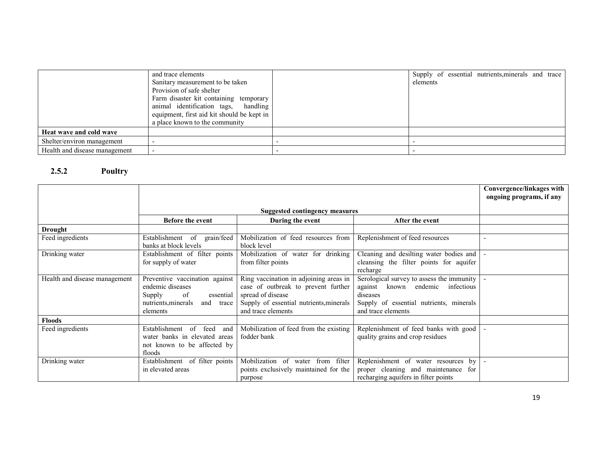|                               | and trace elements<br>Sanitary measurement to be taken<br>Provision of safe shelter<br>Farm disaster kit containing temporary<br>animal identification tags, handling<br>equipment, first aid kit should be kept in<br>a place known to the community | Supply of essential nutrients, minerals and trace<br>elements |
|-------------------------------|-------------------------------------------------------------------------------------------------------------------------------------------------------------------------------------------------------------------------------------------------------|---------------------------------------------------------------|
| Heat wave and cold wave       |                                                                                                                                                                                                                                                       |                                                               |
| Shelter/environ management    |                                                                                                                                                                                                                                                       |                                                               |
| Health and disease management |                                                                                                                                                                                                                                                       |                                                               |

### 2.5.2 Poultry

|                               |                                                                                                                                    |                                                                                                                                                                     |                                                                                                                                                               | Convergence/linkages with<br>ongoing programs, if any |  |  |  |
|-------------------------------|------------------------------------------------------------------------------------------------------------------------------------|---------------------------------------------------------------------------------------------------------------------------------------------------------------------|---------------------------------------------------------------------------------------------------------------------------------------------------------------|-------------------------------------------------------|--|--|--|
|                               |                                                                                                                                    | <b>Suggested contingency measures</b><br>During the event<br>After the event                                                                                        |                                                                                                                                                               |                                                       |  |  |  |
|                               | <b>Before the event</b>                                                                                                            |                                                                                                                                                                     |                                                                                                                                                               |                                                       |  |  |  |
| <b>Drought</b>                |                                                                                                                                    |                                                                                                                                                                     |                                                                                                                                                               |                                                       |  |  |  |
| Feed ingredients              | Establishment of grain/feed<br>banks at block levels                                                                               | Mobilization of feed resources from<br>block level                                                                                                                  | Replenishment of feed resources                                                                                                                               |                                                       |  |  |  |
| Drinking water                | Establishment of filter points<br>for supply of water                                                                              | Mobilization of water for drinking<br>from filter points                                                                                                            | Cleaning and desilting water bodies and<br>cleansing the filter points for aquifer<br>recharge                                                                |                                                       |  |  |  |
| Health and disease management | Preventive vaccination against<br>endemic diseases<br>of<br>essential<br>Supply<br>nutrients, minerals<br>and<br>trace<br>elements | Ring vaccination in adjoining areas in<br>case of outbreak to prevent further<br>spread of disease<br>Supply of essential nutrients, minerals<br>and trace elements | Serological survey to assess the immunity<br>against known endemic<br>infectious<br>diseases<br>Supply of essential nutrients, minerals<br>and trace elements |                                                       |  |  |  |
| <b>Floods</b>                 |                                                                                                                                    |                                                                                                                                                                     |                                                                                                                                                               |                                                       |  |  |  |
| Feed ingredients              | Establishment<br>of<br>feed<br>and<br>water banks in elevated areas<br>not known to be affected by<br>floods                       | Mobilization of feed from the existing<br>fodder bank                                                                                                               | Replenishment of feed banks with good<br>quality grains and crop residues                                                                                     |                                                       |  |  |  |
| Drinking water                | Establishment of filter points<br>in elevated areas                                                                                | Mobilization of water from filter<br>points exclusively maintained for the<br>purpose                                                                               | Replenishment of water resources by<br>proper cleaning and maintenance for<br>recharging aquifers in filter points                                            |                                                       |  |  |  |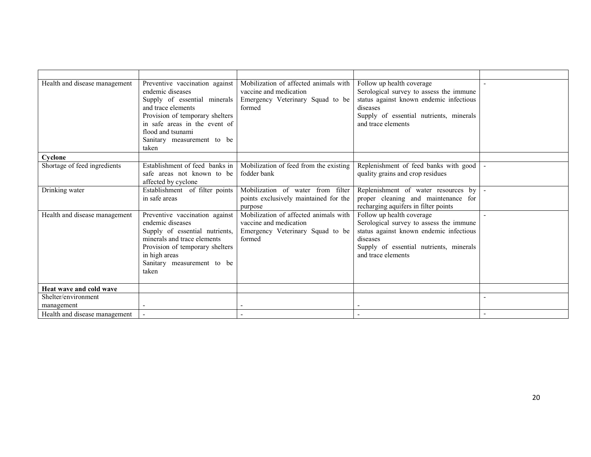| Health and disease management     | Preventive vaccination against<br>endemic diseases<br>Supply of essential minerals<br>and trace elements<br>Provision of temporary shelters<br>in safe areas in the event of<br>flood and tsunami<br>Sanitary measurement to be<br>taken | Mobilization of affected animals with<br>vaccine and medication<br>Emergency Veterinary Squad to be<br>formed | Follow up health coverage<br>Serological survey to assess the immune<br>status against known endemic infectious<br>diseases<br>Supply of essential nutrients, minerals<br>and trace elements |  |
|-----------------------------------|------------------------------------------------------------------------------------------------------------------------------------------------------------------------------------------------------------------------------------------|---------------------------------------------------------------------------------------------------------------|----------------------------------------------------------------------------------------------------------------------------------------------------------------------------------------------|--|
| Cyclone                           |                                                                                                                                                                                                                                          |                                                                                                               |                                                                                                                                                                                              |  |
| Shortage of feed ingredients      | Establishment of feed banks in<br>safe areas not known to be<br>affected by cyclone                                                                                                                                                      | Mobilization of feed from the existing<br>fodder bank                                                         | Replenishment of feed banks with good<br>quality grains and crop residues                                                                                                                    |  |
| Drinking water                    | Establishment of filter points<br>in safe areas                                                                                                                                                                                          | Mobilization of water from filter<br>points exclusively maintained for the<br>purpose                         | Replenishment of water resources by<br>proper cleaning and maintenance for<br>recharging aquifers in filter points                                                                           |  |
| Health and disease management     | Preventive vaccination against<br>endemic diseases<br>Supply of essential nutrients,<br>minerals and trace elements<br>Provision of temporary shelters<br>in high areas<br>Sanitary measurement to be<br>taken                           | Mobilization of affected animals with<br>vaccine and medication<br>Emergency Veterinary Squad to be<br>formed | Follow up health coverage<br>Serological survey to assess the immune<br>status against known endemic infectious<br>diseases<br>Supply of essential nutrients, minerals<br>and trace elements |  |
| Heat wave and cold wave           |                                                                                                                                                                                                                                          |                                                                                                               |                                                                                                                                                                                              |  |
| Shelter/environment<br>management |                                                                                                                                                                                                                                          |                                                                                                               |                                                                                                                                                                                              |  |
| Health and disease management     |                                                                                                                                                                                                                                          |                                                                                                               |                                                                                                                                                                                              |  |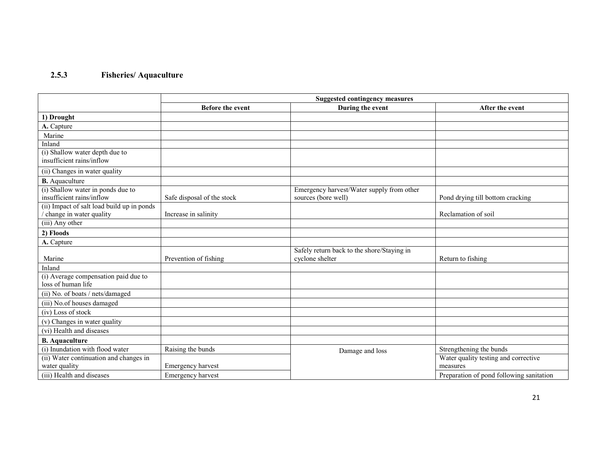### 2.5.3 Fisheries/ Aquaculture

|                                                            | <b>Suggested contingency measures</b> |                                            |                                                  |
|------------------------------------------------------------|---------------------------------------|--------------------------------------------|--------------------------------------------------|
|                                                            | <b>Before the event</b>               | During the event                           | After the event                                  |
| 1) Drought                                                 |                                       |                                            |                                                  |
| A. Capture                                                 |                                       |                                            |                                                  |
| Marine                                                     |                                       |                                            |                                                  |
| Inland                                                     |                                       |                                            |                                                  |
| (i) Shallow water depth due to                             |                                       |                                            |                                                  |
| insufficient rains/inflow                                  |                                       |                                            |                                                  |
| (ii) Changes in water quality                              |                                       |                                            |                                                  |
| <b>B.</b> Aquaculture                                      |                                       |                                            |                                                  |
| (i) Shallow water in ponds due to                          |                                       | Emergency harvest/Water supply from other  |                                                  |
| insufficient rains/inflow                                  | Safe disposal of the stock            | sources (bore well)                        | Pond drying till bottom cracking                 |
| (ii) Impact of salt load build up in ponds                 |                                       |                                            |                                                  |
| change in water quality                                    | Increase in salinity                  |                                            | Reclamation of soil                              |
| (iii) Any other                                            |                                       |                                            |                                                  |
| 2) Floods                                                  |                                       |                                            |                                                  |
| A. Capture                                                 |                                       |                                            |                                                  |
|                                                            |                                       | Safely return back to the shore/Staying in |                                                  |
| Marine                                                     | Prevention of fishing                 | cyclone shelter                            | Return to fishing                                |
| Inland                                                     |                                       |                                            |                                                  |
| (i) Average compensation paid due to<br>loss of human life |                                       |                                            |                                                  |
| (ii) No. of boats / nets/damaged                           |                                       |                                            |                                                  |
| (iii) No.of houses damaged                                 |                                       |                                            |                                                  |
| (iv) Loss of stock                                         |                                       |                                            |                                                  |
| (v) Changes in water quality                               |                                       |                                            |                                                  |
| (vi) Health and diseases                                   |                                       |                                            |                                                  |
|                                                            |                                       |                                            |                                                  |
| <b>B.</b> Aquaculture                                      |                                       |                                            |                                                  |
| (i) Inundation with flood water                            | Raising the bunds                     | Damage and loss                            | Strengthening the bunds                          |
| (ii) Water continuation and changes in<br>water quality    | <b>Emergency harvest</b>              |                                            | Water quality testing and corrective<br>measures |
| (iii) Health and diseases                                  |                                       |                                            |                                                  |
|                                                            | <b>Emergency harvest</b>              |                                            | Preparation of pond following sanitation         |